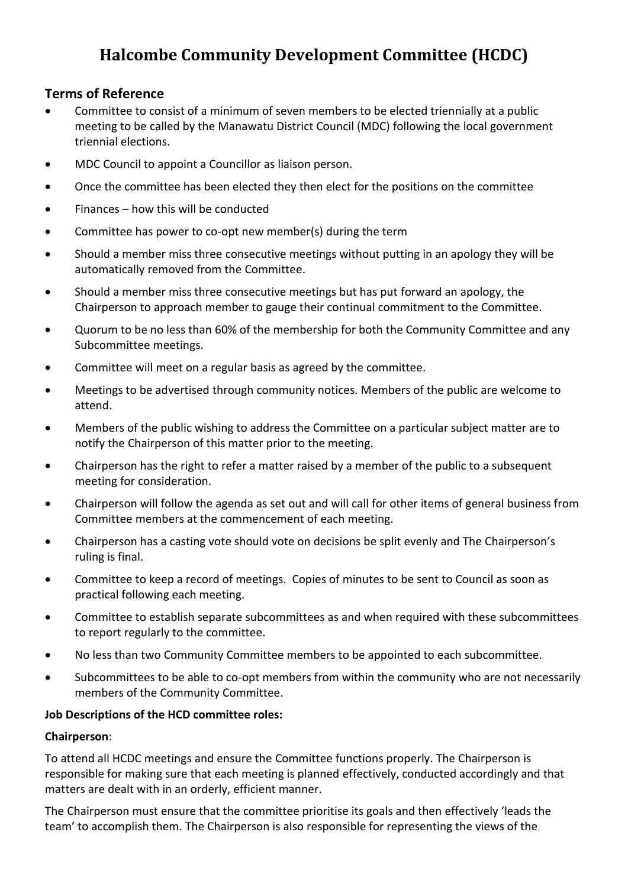# **Halcombe Community Development Committee (HCDC)**

## **Terms of Reference**

- Committee to consist of a minimum of seven members to be elected triennially at a public meeting to be called by the Manawatu District Council (MDC) following the local government triennial elections.
- MDC Council to appoint a Councillor as liaison person.
- Once the committee has been elected they then elect for the positions on the committee
- Finances how this will be conducted
- Committee has power to co-opt new member(s) during the term
- Should a member miss three consecutive meetings without putting in an apology they will be automatically removed from the Committee.
- Should a member miss three consecutive meetings but has put forward an apology, the Chairperson to approach member to gauge their continual commitment to the Committee.
- Quorum to be no less than 60% of the membership for both the Community Committee and any Subcommittee meetings.
- Committee will meet on a regular basis as agreed by the committee.
- Meetings to be advertised through community notices. Members of the public are welcome to attend.
- Members of the public wishing to address the Committee on a particular subject matter are to notify the Chairperson of this matter prior to the meeting.
- Chairperson has the right to refer a matter raised by a member of the public to a subsequent meeting for consideration.
- Chairperson will follow the agenda as set out and will call for other items of general business from Committee members at the commencement of each meeting.
- Chairperson has a casting vote should vote on decisions be split evenly and The Chairperson's ruling is final.
- Committee to keep a record of meetings. Copies of minutes to be sent to Council as soon as practical following each meeting.
- Committee to establish separate subcommittees as and when required with these subcommittees to report regularly to the committee.
- No less than two Community Committee members to be appointed to each subcommittee.
- Subcommittees to be able to co-opt members from within the community who are not necessarily members of the Community Committee.

### **Job Descriptions of the HCD committee roles:**

### **Chairperson**:

To attend all HCDC meetings and ensure the Committee functions properly. The Chairperson is responsible for making sure that each meeting is planned effectively, conducted accordingly and that matters are dealt with in an orderly, efficient manner.

The Chairperson must ensure that the committee prioritise its goals and then effectively 'leads the team' to accomplish them. The Chairperson is also responsible for representing the views of the